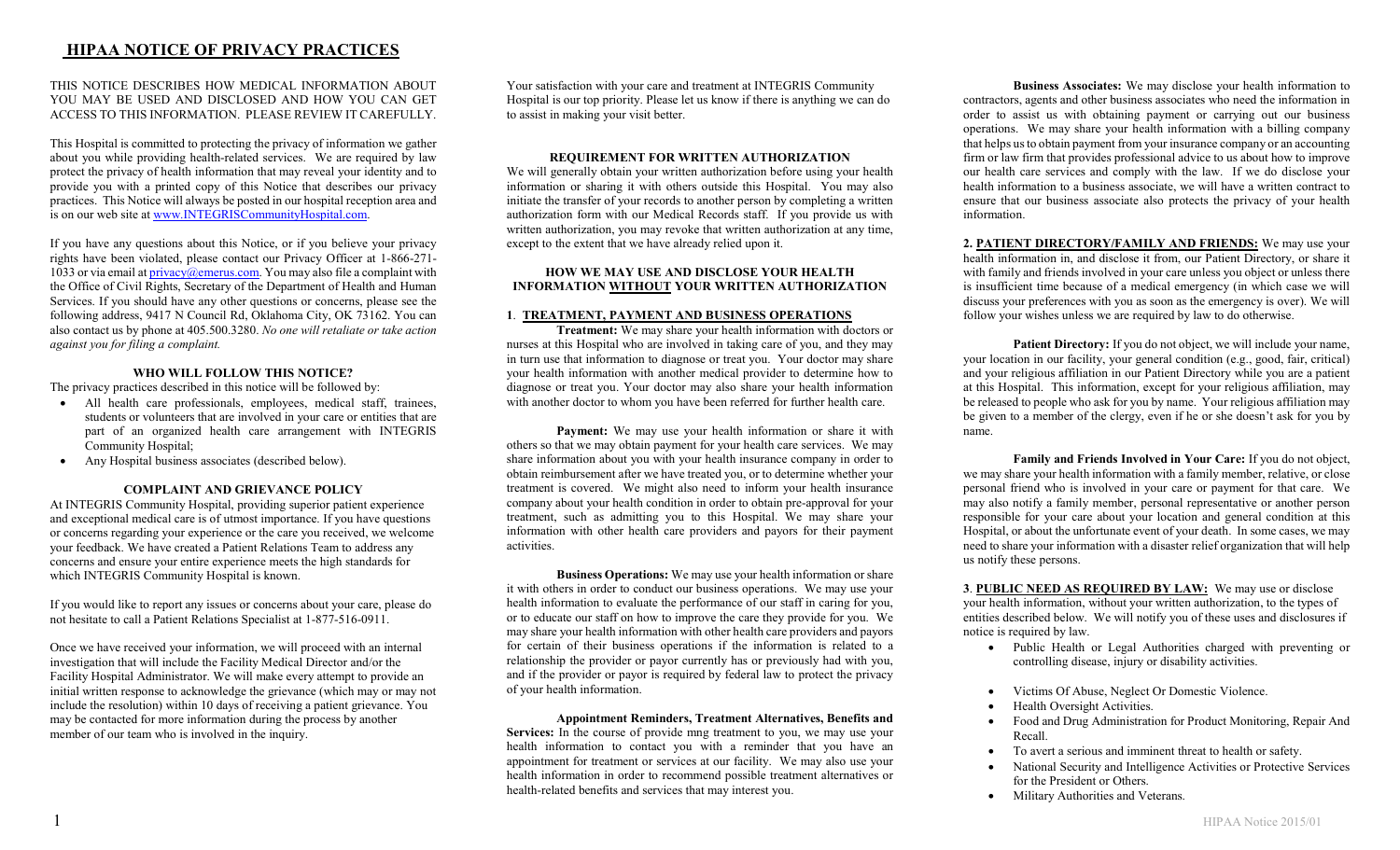# HIPAA NOTICE OF PRIVACY PRACTICES

THIS NOTICE DESCRIBES HOW MEDICAL INFORMATION ABOUT YOU MAY BE USED AND DISCLOSED AND HOW YOU CAN GET ACCESS TO THIS INFORMATION. PLEASE REVIEW IT CAREFULLY.

This Hospital is committed to protecting the privacy of information we gather about you while providing health-related services. We are required by law protect the privacy of health information that may reveal your identity and to provide you with a printed copy of this Notice that describes our privacy practices. This Notice will always be posted in our hospital reception area and is on our web site at www.INTEGRISCommunityHospital.com.

If you have any questions about this Notice, or if you believe your privacy rights have been violated, please contact our Privacy Officer at 1-866-271- 1033 or via email at  $\frac{\text{privacy}}{\text{m} \cdot \text{m}}$  at via may also file a complaint with the Office of Civil Rights, Secretary of the Department of Health and Human Services. If you should have any other questions or concerns, please see the following address, 9417 N Council Rd, Oklahoma City, OK 73162. You can also contact us by phone at 405.500.3280. No one will retaliate or take action against you for filing a complaint.

### WHO WILL FOLLOW THIS NOTICE?

The privacy practices described in this notice will be followed by:

- All health care professionals, employees, medical staff, trainees, students or volunteers that are involved in your care or entities that are part of an organized health care arrangement with INTEGRIS Community Hospital;
- Any Hospital business associates (described below).

#### COMPLAINT AND GRIEVANCE POLICY

At INTEGRIS Community Hospital, providing superior patient experience and exceptional medical care is of utmost importance. If you have questions or concerns regarding your experience or the care you received, we welcome your feedback. We have created a Patient Relations Team to address any concerns and ensure your entire experience meets the high standards for which INTEGRIS Community Hospital is known.

If you would like to report any issues or concerns about your care, please do not hesitate to call a Patient Relations Specialist at 1-877-516-0911.

Once we have received your information, we will proceed with an internal investigation that will include the Facility Medical Director and/or the Facility Hospital Administrator. We will make every attempt to provide an initial written response to acknowledge the grievance (which may or may not include the resolution) within 10 days of receiving a patient grievance. You may be contacted for more information during the process by another member of our team who is involved in the inquiry.

Your satisfaction with your care and treatment at INTEGRIS Community Hospital is our top priority. Please let us know if there is anything we can do to assist in making your visit better.

#### REQUIREMENT FOR WRITTEN AUTHORIZATION

We will generally obtain your written authorization before using your health information or sharing it with others outside this Hospital. You may also initiate the transfer of your records to another person by completing a written authorization form with our Medical Records staff. If you provide us with written authorization, you may revoke that written authorization at any time, except to the extent that we have already relied upon it.

#### HOW WE MAY USE AND DISCLOSE YOUR HEALTH INFORMATION WITHOUT YOUR WRITTEN AUTHORIZATION

#### 1. TREATMENT, PAYMENT AND BUSINESS OPERATIONS

Treatment: We may share your health information with doctors or nurses at this Hospital who are involved in taking care of you, and they may in turn use that information to diagnose or treat you. Your doctor may share your health information with another medical provider to determine how to diagnose or treat you. Your doctor may also share your health information with another doctor to whom you have been referred for further health care.

Payment: We may use your health information or share it with others so that we may obtain payment for your health care services. We may share information about you with your health insurance company in order to obtain reimbursement after we have treated you, or to determine whether your treatment is covered. We might also need to inform your health insurance company about your health condition in order to obtain pre-approval for your treatment, such as admitting you to this Hospital. We may share your information with other health care providers and payors for their payment activities.

Business Operations: We may use your health information or share it with others in order to conduct our business operations. We may use your health information to evaluate the performance of our staff in caring for you, or to educate our staff on how to improve the care they provide for you. We may share your health information with other health care providers and payors for certain of their business operations if the information is related to a relationship the provider or payor currently has or previously had with you, and if the provider or payor is required by federal law to protect the privacy of your health information.

Appointment Reminders, Treatment Alternatives, Benefits and Services: In the course of provide mng treatment to you, we may use your health information to contact you with a reminder that you have an appointment for treatment or services at our facility. We may also use your health information in order to recommend possible treatment alternatives or health-related benefits and services that may interest you.

Business Associates: We may disclose your health information to contractors, agents and other business associates who need the information in order to assist us with obtaining payment or carrying out our business operations. We may share your health information with a billing company that helps us to obtain payment from your insurance company or an accounting firm or law firm that provides professional advice to us about how to improve our health care services and comply with the law. If we do disclose your health information to a business associate, we will have a written contract to ensure that our business associate also protects the privacy of your health information.

2. PATIENT DIRECTORY/FAMILY AND FRIENDS: We may use your health information in, and disclose it from, our Patient Directory, or share it with family and friends involved in your care unless you object or unless there is insufficient time because of a medical emergency (in which case we will discuss your preferences with you as soon as the emergency is over). We will follow your wishes unless we are required by law to do otherwise.

Patient Directory: If you do not object, we will include your name, your location in our facility, your general condition (e.g., good, fair, critical) and your religious affiliation in our Patient Directory while you are a patient at this Hospital. This information, except for your religious affiliation, may be released to people who ask for you by name. Your religious affiliation may be given to a member of the clergy, even if he or she doesn't ask for you by name.

Family and Friends Involved in Your Care: If you do not object, we may share your health information with a family member, relative, or close personal friend who is involved in your care or payment for that care. We may also notify a family member, personal representative or another person responsible for your care about your location and general condition at this Hospital, or about the unfortunate event of your death. In some cases, we may need to share your information with a disaster relief organization that will help us notify these persons.

3. PUBLIC NEED AS REQUIRED BY LAW: We may use or disclose your health information, without your written authorization, to the types of entities described below. We will notify you of these uses and disclosures if notice is required by law.

- Public Health or Legal Authorities charged with preventing or controlling disease, injury or disability activities.
- Victims Of Abuse, Neglect Or Domestic Violence.
- Health Oversight Activities.
- Food and Drug Administration for Product Monitoring, Repair And Recall.
- To avert a serious and imminent threat to health or safety.
- National Security and Intelligence Activities or Protective Services for the President or Others.
- Military Authorities and Veterans.